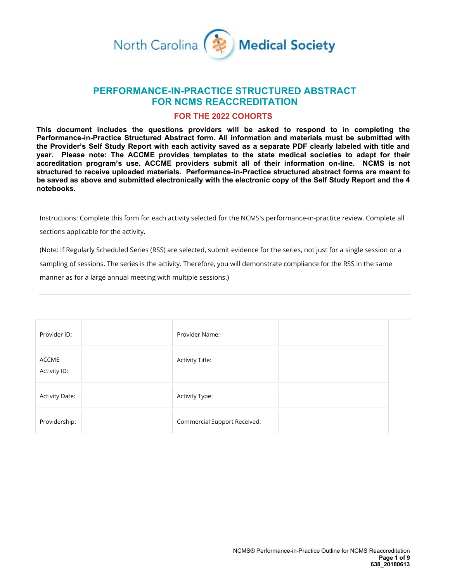

## **PERFORMANCE-IN-PRACTICE STRUCTURED ABSTRACT FOR NCMS REACCREDITATION**

#### **FOR THE 2022 COHORTS**

**This document includes the questions providers will be asked to respond to in completing the Performance-in-Practice Structured Abstract form. All information and materials must be submitted with the Provider's Self Study Report with each activity saved as a separate PDF clearly labeled with title and year. Please note: The ACCME provides templates to the state medical societies to adapt for their accreditation program's use. ACCME providers submit all of their information on-line. NCMS is not structured to receive uploaded materials. Performance-in-Practice structured abstract forms are meant to be saved as above and submitted electronically with the electronic copy of the Self Study Report and the 4 notebooks.**

Instructions: Complete this form for each activity selected for the NCMS's performance-in-practice review. Complete all

sections applicable for the activity.

(Note: If Regularly Scheduled Series (RSS) are selected, submit evidence for the series, not just for a single session or a sampling of sessions. The series is the activity. Therefore, you will demonstrate compliance for the RSS in the same manner as for a large annual meeting with multiple sessions.)

| Provider ID:          | Provider Name:                      |  |
|-----------------------|-------------------------------------|--|
| ACCME<br>Activity ID: | <b>Activity Title:</b>              |  |
| <b>Activity Date:</b> | Activity Type:                      |  |
| Providership:         | <b>Commercial Support Received:</b> |  |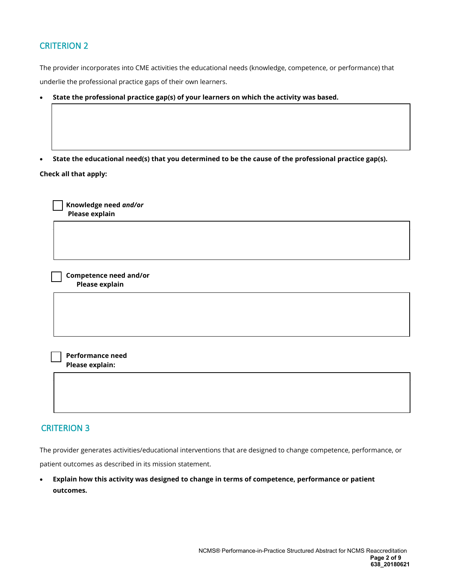# CRITERION 2

The provider incorporates into CME activities the educational needs (knowledge, competence, or performance) that underlie the professional practice gaps of their own learners.

• **State the professional practice gap(s) of your learners on which the activity was based.**

• **State the educational need(s) that you determined to be the cause of the professional practice gap(s).**

**Check all that apply:**

 **Knowledge need** *and/or* **Please explain**

 **Competence need and/or Please explain** 

 **Performance need Please explain:**

#### CRITERION 3

The provider generates activities/educational interventions that are designed to change competence, performance, or patient outcomes as described in its mission statement.

• **Explain how this activity was designed to change in terms of competence, performance or patient outcomes.**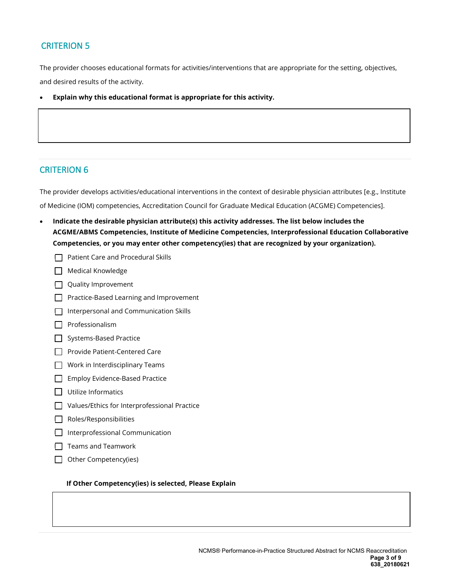## CRITERION 5

The provider chooses educational formats for activities/interventions that are appropriate for the setting, objectives, and desired results of the activity.

• **Explain why this educational format is appropriate for this activity.**

## CRITERION 6

The provider develops activities/educational interventions in the context of desirable physician attributes [e.g., Institute of Medicine (IOM) competencies, Accreditation Council for Graduate Medical Education (ACGME) Competencies].

- **Indicate the desirable physician attribute(s) this activity addresses. The list below includes the ACGME/ABMS Competencies, Institute of Medicine Competencies, Interprofessional Education Collaborative Competencies, or you may enter other competency(ies) that are recognized by your organization).**
	- $\Box$  Patient Care and Procedural Skills
	- Medical Knowledge
	- $\Box$  Quality Improvement
	- Practice-Based Learning and Improvement
	- $\Box$  Interpersonal and Communication Skills
	- $\Box$  Professionalism
	- Systems-Based Practice
	- Provide Patient-Centered Care
	- $\Box$  Work in Interdisciplinary Teams
	- Employ Evidence-Based Practice
	- $\Box$  Utilize Informatics
	- □ Values/Ethics for Interprofessional Practice
	- Roles/Responsibilities
	- $\Box$  Interprofessional Communication
	- $\Box$  Teams and Teamwork
	- $\Box$  Other Competency(ies)

#### **If Other Competency(ies) is selected, Please Explain**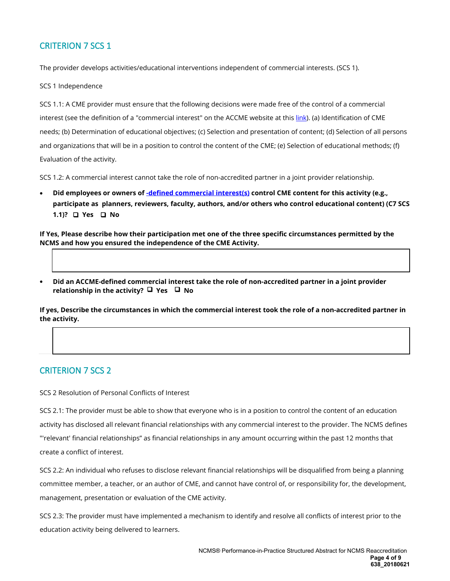# CRITERION 7 SCS 1

The provider develops activities/educational interventions independent of commercial interests. (SCS 1).

SCS 1 Independence

SCS 1.1: A CME provider must ensure that the following decisions were made free of the control of a commercial interest (see the definition of a "commercial interest" on the ACCME website at thi[s link\).](about:blank) (a) Identification of CME needs; (b) Determination of educational objectives; (c) Selection and presentation of content; (d) Selection of all persons and organizations that will be in a position to control the content of the CME; (e) Selection of educational methods; (f) Evaluation of the activity.

SCS 1.2: A commercial interest cannot take the role of non-accredited partner in a joint provider relationship.

• **Did employees or owners of [-defined commercial interest\(s\)](about:blank) control CME content for this activity (e.g., participate as planners, reviewers, faculty, authors, and/or others who control educational content) (C7 SCS 1.1)?** □ Yes □ No

**If Yes, Please describe how their participation met one of the three specific circumstances permitted by the NCMS and how you ensured the independence of the CME Activity.** 

• **Did an ACCME-defined commercial interest take the role of non-accredited partner in a joint provider relationship in the activity? □ Yes □ No** 

**If yes, Describe the circumstances in which the commercial interest took the role of a non-accredited partner in the activity.**

## CRITERION 7 SCS 2

SCS 2 Resolution of Personal Conflicts of Interest

SCS 2.1: The provider must be able to show that everyone who is in a position to control the content of an education activity has disclosed all relevant financial relationships with any commercial interest to the provider. The NCMS defines "'relevant' financial relationships" as financial relationships in any amount occurring within the past 12 months that create a conflict of interest.

SCS 2.2: An individual who refuses to disclose relevant financial relationships will be disqualified from being a planning committee member, a teacher, or an author of CME, and cannot have control of, or responsibility for, the development, management, presentation or evaluation of the CME activity.

SCS 2.3: The provider must have implemented a mechanism to identify and resolve all conflicts of interest prior to the education activity being delivered to learners.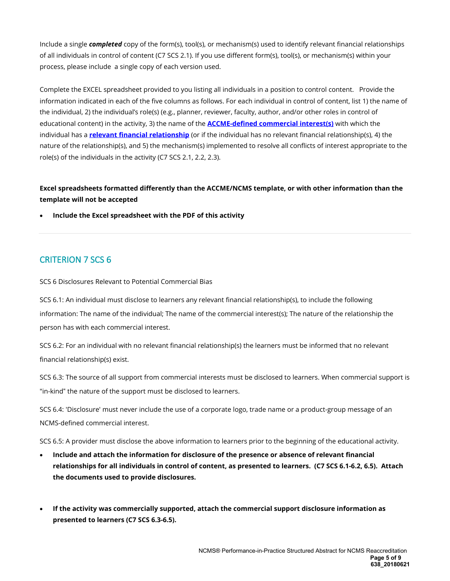Include a single *completed* copy of the form(s), tool(s), or mechanism(s) used to identify relevant financial relationships of all individuals in control of content (C7 SCS 2.1). If you use different form(s), tool(s), or mechanism(s) within your process, please include a single copy of each version used.

Complete the EXCEL spreadsheet provided to you listing all individuals in a position to control content. Provide the information indicated in each of the five columns as follows. For each individual in control of content, list 1) the name of the individual, 2) the individual's role(s) (e.g., planner, reviewer, faculty, author, and/or other roles in control of educational content) in the activity, 3) the name of the **[ACCME-defined commercial interest\(](about:blank)s)** with which the individual has a **[relevant financial relationship](about:blank)** (or if the individual has no relevant financial relationship(s), 4) the nature of the relationship(s), and 5) the mechanism(s) implemented to resolve all conflicts of interest appropriate to the role(s) of the individuals in the activity (C7 SCS 2.1, 2.2, 2.3).

### **Excel spreadsheets formatted differently than the ACCME/NCMS template, or with other information than the template will not be accepted**

• **Include the Excel spreadsheet with the PDF of this activity**

## CRITERION 7 SCS 6

SCS 6 Disclosures Relevant to Potential Commercial Bias

SCS 6.1: An individual must disclose to learners any relevant financial relationship(s), to include the following information: The name of the individual; The name of the commercial interest(s); The nature of the relationship the person has with each commercial interest.

SCS 6.2: For an individual with no relevant financial relationship(s) the learners must be informed that no relevant financial relationship(s) exist.

SCS 6.3: The source of all support from commercial interests must be disclosed to learners. When commercial support is "in-kind" the nature of the support must be disclosed to learners.

SCS 6.4: 'Disclosure' must never include the use of a corporate logo, trade name or a product-group message of an NCMS-defined commercial interest.

SCS 6.5: A provider must disclose the above information to learners prior to the beginning of the educational activity.

- **Include and attach the information for disclosure of the presence or absence of relevant financial relationships for all individuals in control of content, as presented to learners. (C7 SCS 6.1-6.2, 6.5). Attach the documents used to provide disclosures.**
- **If the activity was commercially supported, attach the commercial support disclosure information as presented to learners (C7 SCS 6.3-6.5).**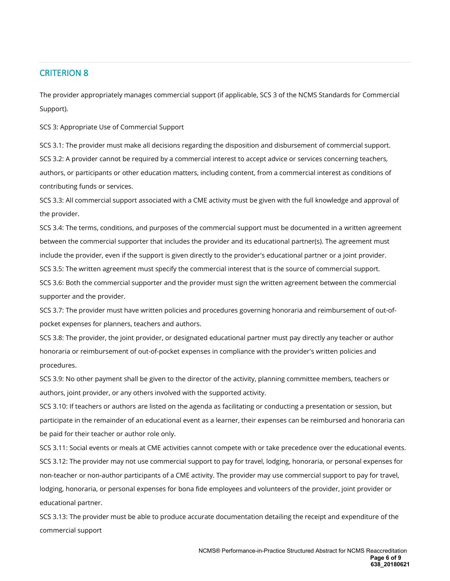### CRITERION 8

The provider appropriately manages commercial support (if applicable, SCS 3 of the NCMS Standards for Commercial Support).

SCS 3: Appropriate Use of Commercial Support

SCS 3.1: The provider must make all decisions regarding the disposition and disbursement of commercial support. SCS 3.2: A provider cannot be required by a commercial interest to accept advice or services concerning teachers, authors, or participants or other education matters, including content, from a commercial interest as conditions of contributing funds or services.

SCS 3.3: All commercial support associated with a CME activity must be given with the full knowledge and approval of the provider.

SCS 3.4: The terms, conditions, and purposes of the commercial support must be documented in a written agreement between the commercial supporter that includes the provider and its educational partner(s). The agreement must include the provider, even if the support is given directly to the provider's educational partner or a joint provider. SCS 3.5: The written agreement must specify the commercial interest that is the source of commercial support.

SCS 3.6: Both the commercial supporter and the provider must sign the written agreement between the commercial supporter and the provider.

SCS 3.7: The provider must have written policies and procedures governing honoraria and reimbursement of out-ofpocket expenses for planners, teachers and authors.

SCS 3.8: The provider, the joint provider, or designated educational partner must pay directly any teacher or author honoraria or reimbursement of out-of-pocket expenses in compliance with the provider's written policies and procedures.

SCS 3.9: No other payment shall be given to the director of the activity, planning committee members, teachers or authors, joint provider, or any others involved with the supported activity.

SCS 3.10: If teachers or authors are listed on the agenda as facilitating or conducting a presentation or session, but participate in the remainder of an educational event as a learner, their expenses can be reimbursed and honoraria can be paid for their teacher or author role only.

SCS 3.11: Social events or meals at CME activities cannot compete with or take precedence over the educational events. SCS 3.12: The provider may not use commercial support to pay for travel, lodging, honoraria, or personal expenses for non-teacher or non-author participants of a CME activity. The provider may use commercial support to pay for travel, lodging, honoraria, or personal expenses for bona fide employees and volunteers of the provider, joint provider or educational partner.

SCS 3.13: The provider must be able to produce accurate documentation detailing the receipt and expenditure of the commercial support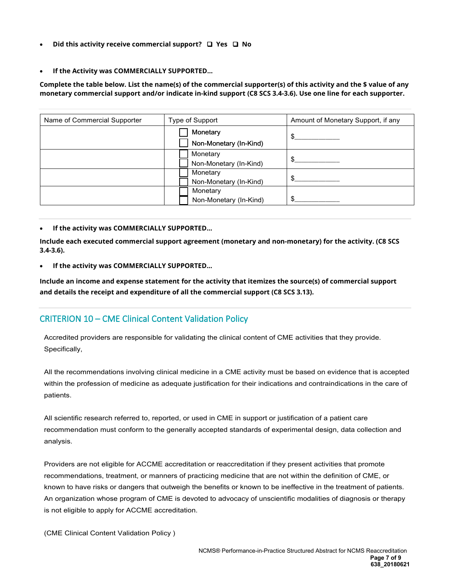- **Did this activity receive commercial support? Yes No**
- **If the Activity was COMMERCIALLY SUPPORTED...**

**Complete the table below. List the name(s) of the commercial supporter(s) of this activity and the \$ value of any monetary commercial support and/or indicate in-kind support (C8 SCS 3.4-3.6). Use one line for each supporter.**

| Name of Commercial Supporter | Type of Support        | Amount of Monetary Support, if any |  |
|------------------------------|------------------------|------------------------------------|--|
|                              | Monetary               | \$                                 |  |
|                              | Non-Monetary (In-Kind) |                                    |  |
|                              | Monetary               | \$                                 |  |
|                              | Non-Monetary (In-Kind) |                                    |  |
|                              | Monetary               |                                    |  |
|                              | Non-Monetary (In-Kind) | \$                                 |  |
|                              | Monetary               |                                    |  |
|                              | Non-Monetary (In-Kind) | \$                                 |  |

#### • **If the activity was COMMERCIALLY SUPPORTED...**

**Include each executed commercial support agreement (monetary and non-monetary) for the activity. (C8 SCS 3.4-3.6).** 

• **If the activity was COMMERCIALLY SUPPORTED...**

**Include an income and expense statement for the activity that itemizes the source(s) of commercial support and details the receipt and expenditure of all the commercial support (C8 SCS 3.13).**

## CRITERION 10 – CME Clinical Content Validation Policy

Accredited providers are responsible for validating the clinical content of CME activities that they provide. Specifically,

All the recommendations involving clinical medicine in a CME activity must be based on evidence that is accepted within the profession of medicine as adequate justification for their indications and contraindications in the care of patients.

All scientific research referred to, reported, or used in CME in support or justification of a patient care recommendation must conform to the generally accepted standards of experimental design, data collection and analysis.

Providers are not eligible for ACCME accreditation or reaccreditation if they present activities that promote recommendations, treatment, or manners of practicing medicine that are not within the definition of CME, or known to have risks or dangers that outweigh the benefits or known to be ineffective in the treatment of patients. An organization whose program of CME is devoted to advocacy of unscientific modalities of diagnosis or therapy is not eligible to apply for ACCME accreditation.

(CME Clinical Content Validation Policy )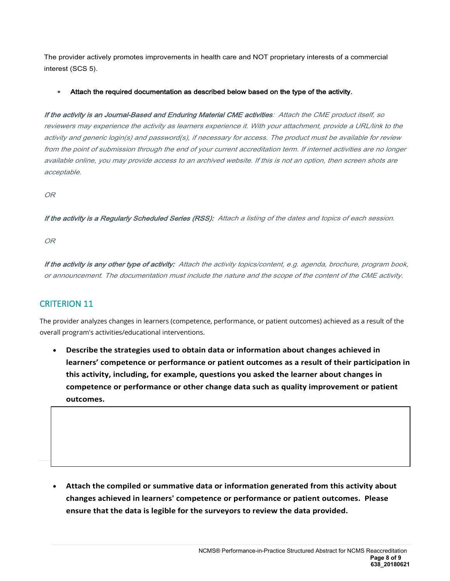The provider actively promotes improvements in health care and NOT proprietary interests of a commercial interest (SCS 5).

#### • Attach the required documentation as described below based on the type of the activity.

If the activity is an Journal-Based and Enduring Material CME activities: Attach the CME product itself, so reviewers may experience the activity as learners experience it. With your attachment, provide a URL/link to the activity and generic login(s) and password(s), if necessary for access. The product must be available for review from the point of submission through the end of your current accreditation term. If internet activities are no longer available online, you may provide access to an archived website. If this is not an option, then screen shots are acceptable.

OR

If the activity is a Regularly Scheduled Series (RSS): Attach a listing of the dates and topics of each session.

OR

If the activity is any other type of activity: Attach the activity topics/content, e.g. agenda, brochure, program book, or announcement. The documentation must include the nature and the scope of the content of the CME activity.

# CRITERION 11

The provider analyzes changes in learners (competence, performance, or patient outcomes) achieved as a result of the overall program's activities/educational interventions.

• **Describe the strategies used to obtain data or information about changes achieved in learners' competence or performance or patient outcomes as a result of their participation in this activity, including, for example, questions you asked the learner about changes in competence or performance or other change data such as quality improvement or patient outcomes.**

• **Attach the compiled or summative data or information generated from this activity about changes achieved in learners' competence or performance or patient outcomes. Please ensure that the data is legible for the surveyors to review the data provided.**